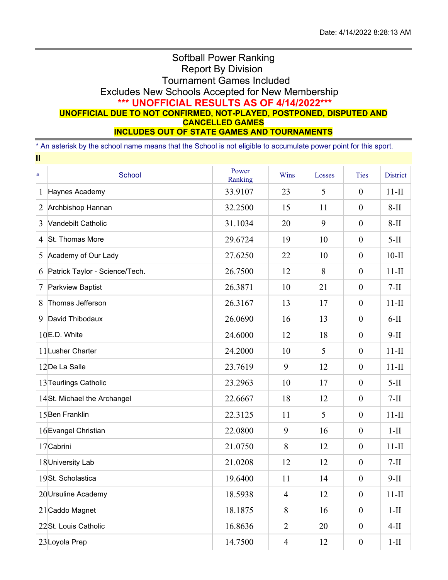## Softball Power Ranking Report By Division Tournament Games Included Excludes New Schools Accepted for New Membership **\*\*\* UNOFFICIAL RESULTS AS OF 4/14/2022\*\*\* UNOFFICIAL DUE TO NOT CONFIRMED, NOT-PLAYED, POSTPONED, DISPUTED AND CANCELLED GAMES INCLUDES OUT OF STATE GAMES AND TOURNAMENTS**

\* An asterisk by the school name means that the School is not eligible to accumulate power point for this sport. **II**

| $\#$           | <b>School</b>                  | Power<br>Ranking | Wins           | Losses | <b>Ties</b>      | <b>District</b> |  |  |
|----------------|--------------------------------|------------------|----------------|--------|------------------|-----------------|--|--|
| $\mathbf{1}$   | Haynes Academy                 | 33.9107          | 23             | 5      | $\boldsymbol{0}$ | $11-II$         |  |  |
| $\overline{2}$ | Archbishop Hannan              | 32.2500          | 15             | 11     | $\boldsymbol{0}$ | $8-II$          |  |  |
| 3              | Vandebilt Catholic             | 31.1034          | 20             | 9      | $\boldsymbol{0}$ | $8-II$          |  |  |
| $\overline{4}$ | St. Thomas More                | 29.6724          | 19             | 10     | $\boldsymbol{0}$ | $5-II$          |  |  |
| 5              | Academy of Our Lady            | 27.6250          | 22             | 10     | $\boldsymbol{0}$ | $10-II$         |  |  |
| 6              | Patrick Taylor - Science/Tech. | 26.7500          | 12             | 8      | $\boldsymbol{0}$ | $11-II$         |  |  |
| 7              | Parkview Baptist               | 26.3871          | 10             | 21     | $\boldsymbol{0}$ | $7-II$          |  |  |
| 8              | Thomas Jefferson               | 26.3167          | 13             | 17     | $\boldsymbol{0}$ | $11-II$         |  |  |
| 9              | David Thibodaux                | 26.0690          | 16             | 13     | $\boldsymbol{0}$ | $6-II$          |  |  |
|                | $10E.D.$ White                 | 24.6000          | 12             | 18     | $\boldsymbol{0}$ | $9-II$          |  |  |
|                | 11 Lusher Charter              | 24.2000          | 10             | 5      | $\boldsymbol{0}$ | $11-II$         |  |  |
|                | 12De La Salle                  | 23.7619          | 9              | 12     | $\theta$         | $11-II$         |  |  |
|                | 13 Teurlings Catholic          | 23.2963          | 10             | 17     | $\boldsymbol{0}$ | $5-II$          |  |  |
|                | 14St. Michael the Archangel    | 22.6667          | 18             | 12     | $\boldsymbol{0}$ | $7-II$          |  |  |
|                | 15 Ben Franklin                | 22.3125          | 11             | 5      | $\boldsymbol{0}$ | $11-II$         |  |  |
|                | 16 Evangel Christian           | 22.0800          | 9              | 16     | $\boldsymbol{0}$ | $1-II$          |  |  |
|                | 17 Cabrini                     | 21.0750          | 8              | 12     | $\boldsymbol{0}$ | $11-II$         |  |  |
|                | 18 University Lab              | 21.0208          | 12             | 12     | $\boldsymbol{0}$ | $7-II$          |  |  |
|                | 19St. Scholastica              | 19.6400          | 11             | 14     | $\boldsymbol{0}$ | $9-II$          |  |  |
|                | 20 Ursuline Academy            | 18.5938          | $\overline{4}$ | 12     | $\boldsymbol{0}$ | $11-II$         |  |  |
|                | 21 Caddo Magnet                | 18.1875          | 8              | 16     | $\boldsymbol{0}$ | $1-II$          |  |  |
|                | 22St. Louis Catholic           | 16.8636          | $\overline{2}$ | 20     | $\overline{0}$   | $4-II$          |  |  |
|                | 23Loyola Prep                  | 14.7500          | $\overline{4}$ | 12     | $\boldsymbol{0}$ | $1-II$          |  |  |